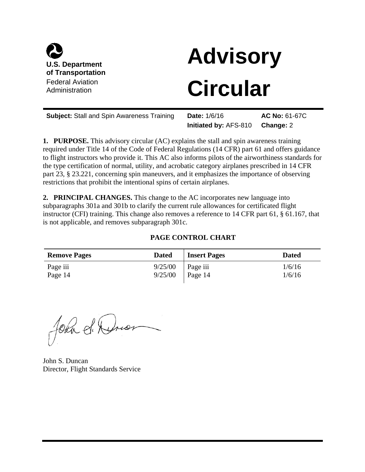

## **Advisory**

### Federal Aviation<br>Administration **Circular**

| <b>Subject:</b> Stall and Spin Awareness Training | <b>Date:</b> 1/6/16             | <b>AC No: 61-67C</b> |
|---------------------------------------------------|---------------------------------|----------------------|
|                                                   | Initiated by: AFS-810 Change: 2 |                      |

**1. PURPOSE.** This advisory circular (AC) explains the stall and spin awareness training required under Title 14 of the Code of Federal Regulations (14 CFR) part 61 and offers guidance to flight instructors who provide it. This AC also informs pilots of the airworthiness standards for the type certification of normal, utility, and acrobatic category airplanes prescribed in 14 CFR part 23, § 23.221, concerning spin maneuvers, and it emphasizes the importance of observing restrictions that prohibit the intentional spins of certain airplanes.

 instructor (CFI) training. This change also removes a reference to 14 CFR part 61, § 61.167, that **2. PRINCIPAL CHANGES.** This change to the AC incorporates new language into subparagraphs 301a and 301b to clarify the current rule allowances for certificated flight is not applicable, and removes subparagraph 301c.

#### **PAGE CONTROL CHART**

| <b>Remove Pages</b> | <b>Dated</b> | <b>Insert Pages</b> | <b>Dated</b> |
|---------------------|--------------|---------------------|--------------|
| Page iii            | 9/25/00      | $\vert$ Page iii    | 1/6/16       |
| Page 14             |              | $9/25/00$ Page 14   | 1/6/16       |

John di Kedrion

John S. Duncan Director, Flight Standards Service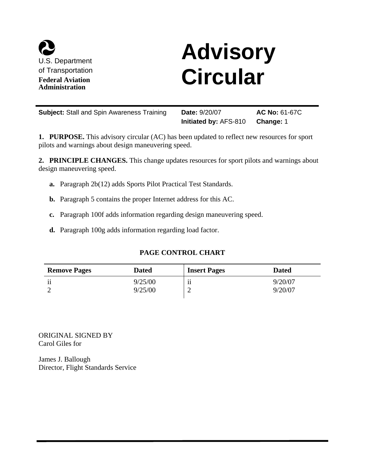

## **Advisory Circular**

| <b>Subject:</b> Stall and Spin Awareness Training | Date: 9/20/07                | <b>AC No: 61-67C</b> |
|---------------------------------------------------|------------------------------|----------------------|
|                                                   | <b>Initiated by: AFS-810</b> | Change: 1            |

**1. PURPOSE.** This advisory circular (AC) has been updated to reflect new resources for sport pilots and warnings about design maneuvering speed.

**2. PRINCIPLE CHANGES.** This change updates resources for sport pilots and warnings about design maneuvering speed.

- **a.** Paragraph 2b(12) adds Sports Pilot Practical Test Standards.
- **b.** Paragraph 5 contains the proper Internet address for this AC.
- **c.** Paragraph 100f adds information regarding design maneuvering speed.
- **d.** Paragraph 100g adds information regarding load factor.

#### **PAGE CONTROL CHART**

| <b>Remove Pages</b> | Dated              | <b>Insert Pages</b>      | <b>Dated</b>       |
|---------------------|--------------------|--------------------------|--------------------|
| $\cdot \cdot$<br>∽  | 9/25/00<br>9/25/00 | $\cdot \cdot$<br>11<br>∸ | 9/20/07<br>9/20/07 |

ORIGINAL SIGNED BY Carol Giles for

James J. Ballough Director, Flight Standards Service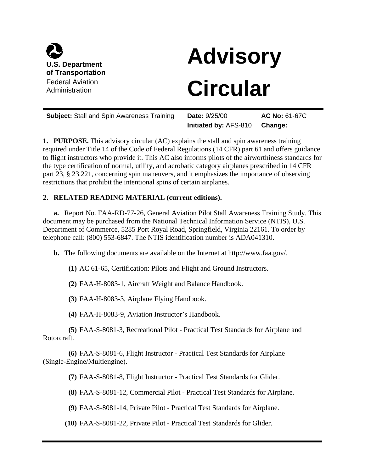

# **Advisory**

 **Subject:** Stall and Spin Awareness Training **Date:** 9/25/00 **AC No:** 61-67C **Initiated by:** AFS-810 **Change:**

**1. PURPOSE.** This advisory circular (AC) explains the stall and spin awareness training required under Title 14 of the Code of Federal Regulations (14 CFR) part 61 and offers guidance to flight instructors who provide it. This AC also informs pilots of the airworthiness standards for the type certification of normal, utility, and acrobatic category airplanes prescribed in 14 CFR part 23, § 23.221, concerning spin maneuvers, and it emphasizes the importance of observing restrictions that prohibit the intentional spins of certain airplanes.

#### **2. RELATED READING MATERIAL (current editions).**

**a.** Report No. FAA-RD-77-26, General Aviation Pilot Stall Awareness Training Study. This document may be purchased from the National Technical Information Service (NTIS), U.S. Department of Commerce, 5285 Port Royal Road, Springfield, Virginia 22161. To order by telephone call: (800) 553-6847. The NTIS identification number is ADA041310.

**b.** The following documents are available on the Internet at http://www.faa.gov/.

**(1)** AC 61-65, Certification: Pilots and Flight and Ground Instructors.

**(2)** FAA-H-8083-1, Aircraft Weight and Balance Handbook.

**(3)** FAA-H-8083-3, Airplane Flying Handbook.

**(4)** FAA-H-8083-9, Aviation Instructor's Handbook.

 **(5)** FAA-S-8081-3, Recreational Pilot - Practical Test Standards for Airplane and Rotorcraft.

**(6)** FAA-S-8081-6, Flight Instructor - Practical Test Standards for Airplane (Single-Engine/Multiengine).

**(7)** FAA-S-8081-8, Flight Instructor - Practical Test Standards for Glider.

**(8)** FAA-S-8081-12, Commercial Pilot - Practical Test Standards for Airplane.

**(9)** FAA-S-8081-14, Private Pilot - Practical Test Standards for Airplane.

**(10)** FAA-S-8081-22, Private Pilot - Practical Test Standards for Glider.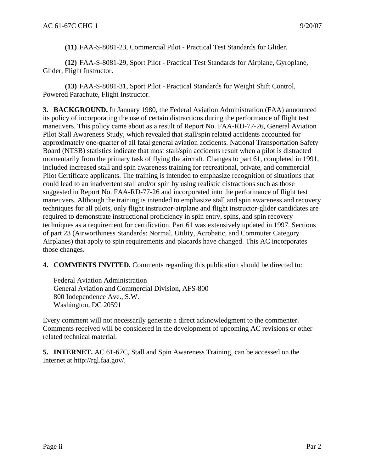**(11)** FAA-S-8081-23, Commercial Pilot - Practical Test Standards for Glider.

**(12)** FAA-S-8081-29, Sport Pilot - Practical Test Standards for Airplane, Gyroplane, Glider, Flight Instructor.

**(13)** FAA-S-8081-31, Sport Pilot - Practical Standards for Weight Shift Control, Powered Parachute, Flight Instructor.

 its policy of incorporating the use of certain distractions during the performance of flight test Pilot Stall Awareness Study, which revealed that stall/spin related accidents accounted for suggested in Report No. FAA-RD-77-26 and incorporated into the performance of flight test **3. BACKGROUND.** In January 1980, the Federal Aviation Administration (FAA) announced maneuvers. This policy came about as a result of Report No. FAA-RD-77-26, General Aviation approximately one-quarter of all fatal general aviation accidents. National Transportation Safety Board (NTSB) statistics indicate that most stall/spin accidents result when a pilot is distracted momentarily from the primary task of flying the aircraft. Changes to part 61, completed in 1991, included increased stall and spin awareness training for recreational, private, and commercial Pilot Certificate applicants. The training is intended to emphasize recognition of situations that could lead to an inadvertent stall and/or spin by using realistic distractions such as those maneuvers. Although the training is intended to emphasize stall and spin awareness and recovery techniques for all pilots, only flight instructor-airplane and flight instructor-glider candidates are required to demonstrate instructional proficiency in spin entry, spins, and spin recovery techniques as a requirement for certification. Part 61 was extensively updated in 1997. Sections of part 23 (Airworthiness Standards: Normal, Utility, Acrobatic, and Commuter Category Airplanes) that apply to spin requirements and placards have changed. This AC incorporates those changes.

**4. COMMENTS INVITED.** Comments regarding this publication should be directed to:

Federal Aviation Administration General Aviation and Commercial Division, AFS-800 800 Independence Ave., S.W. Washington, DC 20591

 Comments received will be considered in the development of upcoming AC revisions or other Every comment will not necessarily generate a direct acknowledgment to the commenter. related technical material.

**5. INTERNET.** AC 61-67C, Stall and Spin Awareness Training, can be accessed on the Internet at http://rgl.faa.gov/.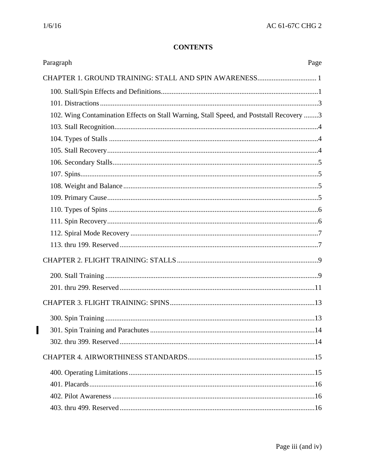$\overline{\mathbf{I}}$ 

### **CONTENTS**

| Paragraph                                                                               | Page |
|-----------------------------------------------------------------------------------------|------|
|                                                                                         |      |
|                                                                                         |      |
|                                                                                         |      |
| 102. Wing Contamination Effects on Stall Warning, Stall Speed, and Poststall Recovery 3 |      |
|                                                                                         |      |
|                                                                                         |      |
|                                                                                         |      |
|                                                                                         |      |
|                                                                                         |      |
|                                                                                         |      |
|                                                                                         |      |
|                                                                                         |      |
|                                                                                         |      |
|                                                                                         |      |
|                                                                                         |      |
|                                                                                         |      |
|                                                                                         |      |
|                                                                                         |      |
|                                                                                         |      |
|                                                                                         |      |
|                                                                                         |      |
|                                                                                         |      |
|                                                                                         |      |
|                                                                                         |      |
|                                                                                         |      |
|                                                                                         |      |
|                                                                                         |      |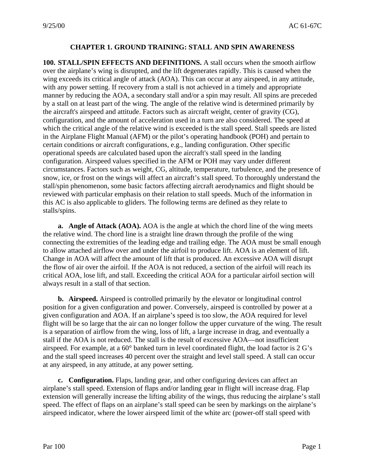#### **CHAPTER 1. GROUND TRAINING: STALL AND SPIN AWARENESS**

 in the Airplane Flight Manual (AFM) or the pilot's operating handbook (POH) and pertain to **100. STALL/SPIN EFFECTS AND DEFINITIONS.** A stall occurs when the smooth airflow over the airplane's wing is disrupted, and the lift degenerates rapidly. This is caused when the wing exceeds its critical angle of attack (AOA). This can occur at any airspeed, in any attitude, with any power setting. If recovery from a stall is not achieved in a timely and appropriate manner by reducing the AOA, a secondary stall and/or a spin may result. All spins are preceded by a stall on at least part of the wing. The angle of the relative wind is determined primarily by the aircraft's airspeed and attitude. Factors such as aircraft weight, center of gravity (CG), configuration, and the amount of acceleration used in a turn are also considered. The speed at which the critical angle of the relative wind is exceeded is the stall speed. Stall speeds are listed certain conditions or aircraft configurations, e.g., landing configuration. Other specific operational speeds are calculated based upon the aircraft's stall speed in the landing configuration. Airspeed values specified in the AFM or POH may vary under different circumstances. Factors such as weight, CG, altitude, temperature, turbulence, and the presence of snow, ice, or frost on the wings will affect an aircraft's stall speed. To thoroughly understand the stall/spin phenomenon, some basic factors affecting aircraft aerodynamics and flight should be reviewed with particular emphasis on their relation to stall speeds. Much of the information in this AC is also applicable to gliders. The following terms are defined as they relate to stalls/spins.

 **a. Angle of Attack (AOA).** AOA is the angle at which the chord line of the wing meets the relative wind. The chord line is a straight line drawn through the profile of the wing critical AOA, lose lift, and stall. Exceeding the critical AOA for a particular airfoil section will connecting the extremities of the leading edge and trailing edge. The AOA must be small enough to allow attached airflow over and under the airfoil to produce lift. AOA is an element of lift. Change in AOA will affect the amount of lift that is produced. An excessive AOA will disrupt the flow of air over the airfoil. If the AOA is not reduced, a section of the airfoil will reach its always result in a stall of that section.

 and the stall speed increases 40 percent over the straight and level stall speed. A stall can occur **b. Airspeed.** Airspeed is controlled primarily by the elevator or longitudinal control position for a given configuration and power. Conversely, airspeed is controlled by power at a given configuration and AOA. If an airplane's speed is too slow, the AOA required for level flight will be so large that the air can no longer follow the upper curvature of the wing. The result is a separation of airflow from the wing, loss of lift, a large increase in drag, and eventually a stall if the AOA is not reduced. The stall is the result of excessive AOA—not insufficient airspeed. For example, at a 60° banked turn in level coordinated flight, the load factor is 2 G's at any airspeed, in any attitude, at any power setting.

**c. Configuration.** Flaps, landing gear, and other configuring devices can affect an airplane's stall speed. Extension of flaps and/or landing gear in flight will increase drag. Flap extension will generally increase the lifting ability of the wings, thus reducing the airplane's stall speed. The effect of flaps on an airplane's stall speed can be seen by markings on the airplane's airspeed indicator, where the lower airspeed limit of the white arc (power-off stall speed with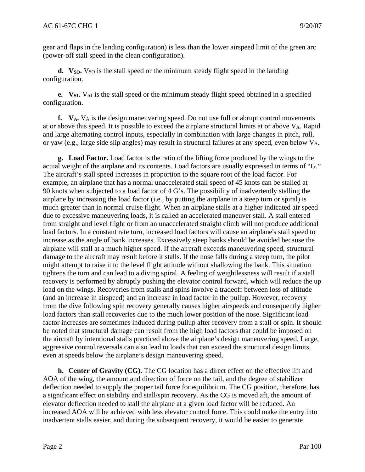(power-off stall speed in the clean configuration). gear and flaps in the landing configuration) is less than the lower airspeed limit of the green arc

**d.** V<sub>SO</sub>. V<sub>SO</sub> is the stall speed or the minimum steady flight speed in the landing configuration.

**e. V**s1. V<sub>S1</sub> is the stall speed or the minimum steady flight speed obtained in a specified configuration.

**f. V**<sub>A</sub>. V<sub>A</sub> is the design maneuvering speed. Do not use full or abrupt control movements at or above this speed. It is possible to exceed the airplane structural limits at or above VA. Rapid and large alternating control inputs, especially in combination with large changes in pitch, roll, or yaw (e.g., large side slip angles) may result in structural failures at any speed, even below VA.

 **g. Load Factor.** Load factor is the ratio of the lifting force produced by the wings to the actual weight of the airplane and its contents. Load factors are usually expressed in terms of "G." 90 knots when subjected to a load factor of 4 G's. The possibility of inadvertently stalling the due to excessive maneuvering loads, it is called an accelerated maneuver stall. A stall entered from straight and level flight or from an unaccelerated straight climb will not produce additional might attempt to raise it to the level flight attitude without shallowing the bank. This situation recovery is performed by abruptly pushing the elevator control forward, which will reduce the up (and an increase in airspeed) and an increase in load factor in the pullup. However, recovery factor increases are sometimes induced during pullup after recovery from a stall or spin. It should aggressive control reversals can also lead to loads that can exceed the structural design limits, The aircraft's stall speed increases in proportion to the square root of the load factor. For example, an airplane that has a normal unaccelerated stall speed of 45 knots can be stalled at airplane by increasing the load factor (i.e., by putting the airplane in a steep turn or spiral) is much greater than in normal cruise flight. When an airplane stalls at a higher indicated air speed load factors. In a constant rate turn, increased load factors will cause an airplane's stall speed to increase as the angle of bank increases. Excessively steep banks should be avoided because the airplane will stall at a much higher speed. If the aircraft exceeds maneuvering speed, structural damage to the aircraft may result before it stalls. If the nose falls during a steep turn, the pilot tightens the turn and can lead to a diving spiral. A feeling of weightlessness will result if a stall load on the wings. Recoveries from stalls and spins involve a tradeoff between loss of altitude from the dive following spin recovery generally causes higher airspeeds and consequently higher load factors than stall recoveries due to the much lower position of the nose. Significant load be noted that structural damage can result from the high load factors that could be imposed on the aircraft by intentional stalls practiced above the airplane's design maneuvering speed. Large, even at speeds below the airplane's design maneuvering speed.

**h. Center of Gravity (CG).** The CG location has a direct effect on the effective lift and AOA of the wing, the amount and direction of force on the tail, and the degree of stabilizer deflection needed to supply the proper tail force for equilibrium. The CG position, therefore, has a significant effect on stability and stall/spin recovery. As the CG is moved aft, the amount of elevator deflection needed to stall the airplane at a given load factor will be reduced. An increased AOA will be achieved with less elevator control force. This could make the entry into inadvertent stalls easier, and during the subsequent recovery, it would be easier to generate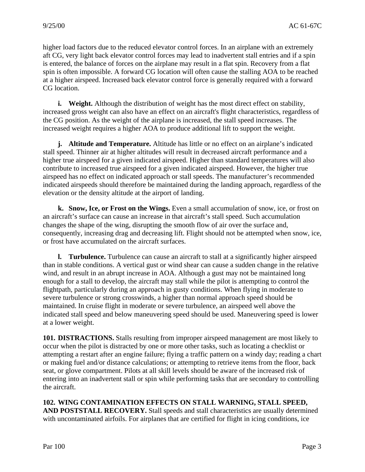higher load factors due to the reduced elevator control forces. In an airplane with an extremely aft CG, very light back elevator control forces may lead to inadvertent stall entries and if a spin is entered, the balance of forces on the airplane may result in a flat spin. Recovery from a flat spin is often impossible. A forward CG location will often cause the stalling AOA to be reached at a higher airspeed. Increased back elevator control force is generally required with a forward CG location.

**i.** Weight. Although the distribution of weight has the most direct effect on stability, increased gross weight can also have an effect on an aircraft's flight characteristics, regardless of the CG position. As the weight of the airplane is increased, the stall speed increases. The increased weight requires a higher AOA to produce additional lift to support the weight.

**j. Altitude and Temperature.** Altitude has little or no effect on an airplane's indicated stall speed. Thinner air at higher altitudes will result in decreased aircraft performance and a higher true airspeed for a given indicated airspeed. Higher than standard temperatures will also contribute to increased true airspeed for a given indicated airspeed. However, the higher true airspeed has no effect on indicated approach or stall speeds. The manufacturer's recommended indicated airspeeds should therefore be maintained during the landing approach, regardless of the elevation or the density altitude at the airport of landing.

 changes the shape of the wing, disrupting the smooth flow of air over the surface and, **k. Snow, Ice, or Frost on the Wings.** Even a small accumulation of snow, ice, or frost on an aircraft's surface can cause an increase in that aircraft's stall speed. Such accumulation consequently, increasing drag and decreasing lift. Flight should not be attempted when snow, ice, or frost have accumulated on the aircraft surfaces.

 **l. Turbulence.** Turbulence can cause an aircraft to stall at a significantly higher airspeed enough for a stall to develop, the aircraft may stall while the pilot is attempting to control the maintained. In cruise flight in moderate or severe turbulence, an airspeed well above the than in stable conditions. A vertical gust or wind shear can cause a sudden change in the relative wind, and result in an abrupt increase in AOA. Although a gust may not be maintained long flightpath, particularly during an approach in gusty conditions. When flying in moderate to severe turbulence or strong crosswinds, a higher than normal approach speed should be indicated stall speed and below maneuvering speed should be used. Maneuvering speed is lower at a lower weight.

 entering into an inadvertent stall or spin while performing tasks that are secondary to controlling **101. DISTRACTIONS.** Stalls resulting from improper airspeed management are most likely to occur when the pilot is distracted by one or more other tasks, such as locating a checklist or attempting a restart after an engine failure; flying a traffic pattern on a windy day; reading a chart or making fuel and/or distance calculations; or attempting to retrieve items from the floor, back seat, or glove compartment. Pilots at all skill levels should be aware of the increased risk of the aircraft.

**102. WING CONTAMINATION EFFECTS ON STALL WARNING, STALL SPEED, AND POSTSTALL RECOVERY.** Stall speeds and stall characteristics are usually determined with uncontaminated airfoils. For airplanes that are certified for flight in icing conditions, ice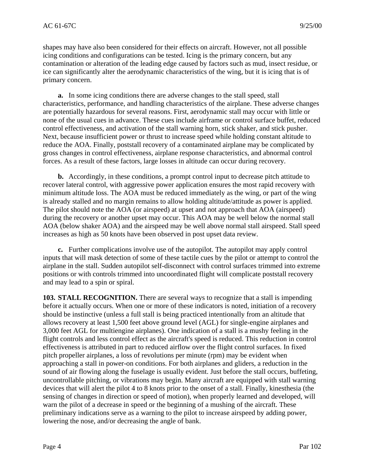contamination or alteration of the leading edge caused by factors such as mud, insect residue, or shapes may have also been considered for their effects on aircraft. However, not all possible icing conditions and configurations can be tested. Icing is the primary concern, but any ice can significantly alter the aerodynamic characteristics of the wing, but it is icing that is of primary concern.

 are potentially hazardous for several reasons. First, aerodynamic stall may occur with little or control effectiveness, and activation of the stall warning horn, stick shaker, and stick pusher. Next, because insufficient power or thrust to increase speed while holding constant altitude to **a.** In some icing conditions there are adverse changes to the stall speed, stall characteristics, performance, and handling characteristics of the airplane. These adverse changes none of the usual cues in advance. These cues include airframe or control surface buffet, reduced reduce the AOA. Finally, poststall recovery of a contaminated airplane may be complicated by gross changes in control effectiveness, airplane response characteristics, and abnormal control forces. As a result of these factors, large losses in altitude can occur during recovery.

 is already stalled and no margin remains to allow holding altitude/attitude as power is applied. **b.** Accordingly, in these conditions, a prompt control input to decrease pitch attitude to recover lateral control, with aggressive power application ensures the most rapid recovery with minimum altitude loss. The AOA must be reduced immediately as the wing, or part of the wing The pilot should note the AOA (or airspeed) at upset and not approach that AOA (airspeed) during the recovery or another upset may occur. This AOA may be well below the normal stall AOA (below shaker AOA) and the airspeed may be well above normal stall airspeed. Stall speed increases as high as 50 knots have been observed in post upset data review.

**c.** Further complications involve use of the autopilot. The autopilot may apply control inputs that will mask detection of some of these tactile cues by the pilot or attempt to control the airplane in the stall. Sudden autopilot self-disconnect with control surfaces trimmed into extreme positions or with controls trimmed into uncoordinated flight will complicate poststall recovery and may lead to a spin or spiral.

 should be instinctive (unless a full stall is being practiced intentionally from an altitude that devices that will alert the pilot 4 to 8 knots prior to the onset of a stall. Finally, kinesthesia (the warn the pilot of a decrease in speed or the beginning of a mushing of the aircraft. These preliminary indications serve as a warning to the pilot to increase airspeed by adding power, **103. STALL RECOGNITION.** There are several ways to recognize that a stall is impending before it actually occurs. When one or more of these indicators is noted, initiation of a recovery allows recovery at least 1,500 feet above ground level (AGL) for single-engine airplanes and 3,000 feet AGL for multiengine airplanes). One indication of a stall is a mushy feeling in the flight controls and less control effect as the aircraft's speed is reduced. This reduction in control effectiveness is attributed in part to reduced airflow over the flight control surfaces. In fixed pitch propeller airplanes, a loss of revolutions per minute (rpm) may be evident when approaching a stall in power-on conditions. For both airplanes and gliders, a reduction in the sound of air flowing along the fuselage is usually evident. Just before the stall occurs, buffeting, uncontrollable pitching, or vibrations may begin. Many aircraft are equipped with stall warning sensing of changes in direction or speed of motion), when properly learned and developed, will lowering the nose, and/or decreasing the angle of bank.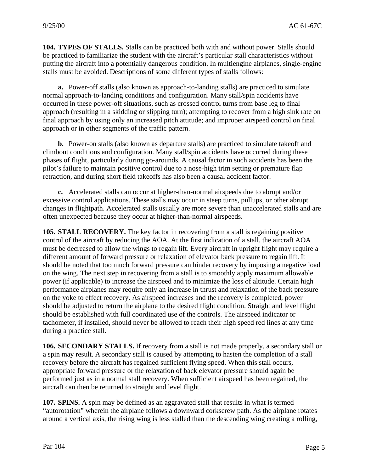**104. TYPES OF STALLS.** Stalls can be practiced both with and without power. Stalls should be practiced to familiarize the student with the aircraft's particular stall characteristics without putting the aircraft into a potentially dangerous condition. In multiengine airplanes, single-engine stalls must be avoided. Descriptions of some different types of stalls follows:

 **a.** Power-off stalls (also known as approach-to-landing stalls) are practiced to simulate approach or in other segments of the traffic pattern. normal approach-to-landing conditions and configuration. Many stall/spin accidents have occurred in these power-off situations, such as crossed control turns from base leg to final approach (resulting in a skidding or slipping turn); attempting to recover from a high sink rate on final approach by using only an increased pitch attitude; and improper airspeed control on final

**b.** Power-on stalls (also known as departure stalls) are practiced to simulate takeoff and climbout conditions and configuration. Many stall/spin accidents have occurred during these phases of flight, particularly during go-arounds. A causal factor in such accidents has been the pilot's failure to maintain positive control due to a nose-high trim setting or premature flap retraction, and during short field takeoffs has also been a causal accident factor.

 **c.** Accelerated stalls can occur at higher-than-normal airspeeds due to abrupt and/or excessive control applications. These stalls may occur in steep turns, pullups, or other abrupt changes in flightpath. Accelerated stalls usually are more severe than unaccelerated stalls and are often unexpected because they occur at higher-than-normal airspeeds.

 on the wing. The next step in recovering from a stall is to smoothly apply maximum allowable performance airplanes may require only an increase in thrust and relaxation of the back pressure **105. STALL RECOVERY.** The key factor in recovering from a stall is regaining positive control of the aircraft by reducing the AOA. At the first indication of a stall, the aircraft AOA must be decreased to allow the wings to regain lift. Every aircraft in upright flight may require a different amount of forward pressure or relaxation of elevator back pressure to regain lift. It should be noted that too much forward pressure can hinder recovery by imposing a negative load power (if applicable) to increase the airspeed and to minimize the loss of altitude. Certain high on the yoke to effect recovery. As airspeed increases and the recovery is completed, power should be adjusted to return the airplane to the desired flight condition. Straight and level flight should be established with full coordinated use of the controls. The airspeed indicator or tachometer, if installed, should never be allowed to reach their high speed red lines at any time during a practice stall.

 performed just as in a normal stall recovery. When sufficient airspeed has been regained, the **106. SECONDARY STALLS.** If recovery from a stall is not made properly, a secondary stall or a spin may result. A secondary stall is caused by attempting to hasten the completion of a stall recovery before the aircraft has regained sufficient flying speed. When this stall occurs, appropriate forward pressure or the relaxation of back elevator pressure should again be aircraft can then be returned to straight and level flight.

 **107. SPINS.** A spin may be defined as an aggravated stall that results in what is termed "autorotation" wherein the airplane follows a downward corkscrew path. As the airplane rotates around a vertical axis, the rising wing is less stalled than the descending wing creating a rolling,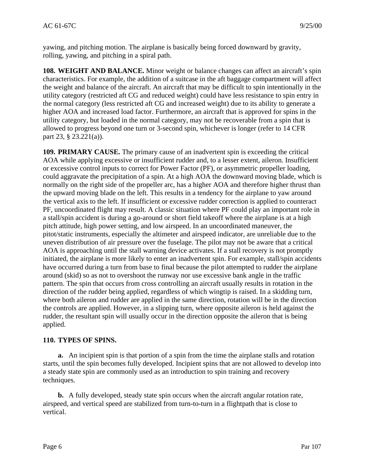yawing, and pitching motion. The airplane is basically being forced downward by gravity, rolling, yawing, and pitching in a spiral path.

 the weight and balance of the aircraft. An aircraft that may be difficult to spin intentionally in the utility category (restricted aft CG and reduced weight) could have less resistance to spin entry in utility category, but loaded in the normal category, may not be recoverable from a spin that is allowed to progress beyond one turn or 3-second spin, whichever is longer (refer to 14 CFR part 23, § 23.221(a)). **108. WEIGHT AND BALANCE.** Minor weight or balance changes can affect an aircraft's spin characteristics. For example, the addition of a suitcase in the aft baggage compartment will affect the normal category (less restricted aft CG and increased weight) due to its ability to generate a higher AOA and increased load factor. Furthermore, an aircraft that is approved for spins in the

 normally on the right side of the propeller arc, has a higher AOA and therefore higher thrust than the vertical axis to the left. If insufficient or excessive rudder correction is applied to counteract PF, uncoordinated flight may result. A classic situation where PF could play an important role in uneven distribution of air pressure over the fuselage. The pilot may not be aware that a critical have occurred during a turn from base to final because the pilot attempted to rudder the airplane around (skid) so as not to overshoot the runway nor use excessive bank angle in the traffic pattern. The spin that occurs from cross controlling an aircraft usually results in rotation in the the controls are applied. However, in a slipping turn, where opposite aileron is held against the rudder, the resultant spin will usually occur in the direction opposite the aileron that is being **109. PRIMARY CAUSE.** The primary cause of an inadvertent spin is exceeding the critical AOA while applying excessive or insufficient rudder and, to a lesser extent, aileron. Insufficient or excessive control inputs to correct for Power Factor (PF), or asymmetric propeller loading, could aggravate the precipitation of a spin. At a high AOA the downward moving blade, which is the upward moving blade on the left. This results in a tendency for the airplane to yaw around a stall/spin accident is during a go-around or short field takeoff where the airplane is at a high pitch attitude, high power setting, and low airspeed. In an uncoordinated maneuver, the pitot/static instruments, especially the altimeter and airspeed indicator, are unreliable due to the AOA is approaching until the stall warning device activates. If a stall recovery is not promptly initiated, the airplane is more likely to enter an inadvertent spin. For example, stall/spin accidents direction of the rudder being applied, regardless of which wingtip is raised. In a skidding turn, where both aileron and rudder are applied in the same direction, rotation will be in the direction applied.

#### **110. TYPES OF SPINS.**

 **a.** An incipient spin is that portion of a spin from the time the airplane stalls and rotation starts, until the spin becomes fully developed. Incipient spins that are not allowed to develop into a steady state spin are commonly used as an introduction to spin training and recovery techniques.

**b.** A fully developed, steady state spin occurs when the aircraft angular rotation rate, airspeed, and vertical speed are stabilized from turn-to-turn in a flightpath that is close to vertical.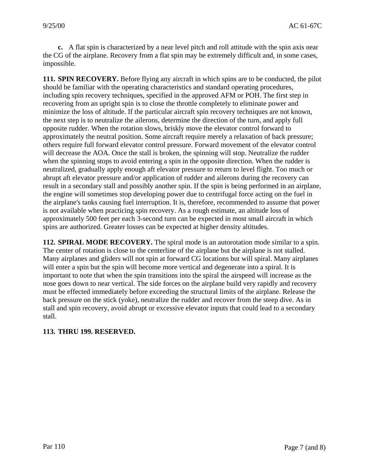**c.** A flat spin is characterized by a near level pitch and roll attitude with the spin axis near the CG of the airplane. Recovery from a flat spin may be extremely difficult and, in some cases, impossible.

 is not available when practicing spin recovery. As a rough estimate, an altitude loss of spins are authorized. Greater losses can be expected at higher density altitudes. **111. SPIN RECOVERY.** Before flying any aircraft in which spins are to be conducted, the pilot should be familiar with the operating characteristics and standard operating procedures, including spin recovery techniques, specified in the approved AFM or POH. The first step in recovering from an upright spin is to close the throttle completely to eliminate power and minimize the loss of altitude. If the particular aircraft spin recovery techniques are not known, the next step is to neutralize the ailerons, determine the direction of the turn, and apply full opposite rudder. When the rotation slows, briskly move the elevator control forward to approximately the neutral position. Some aircraft require merely a relaxation of back pressure; others require full forward elevator control pressure. Forward movement of the elevator control will decrease the AOA. Once the stall is broken, the spinning will stop. Neutralize the rudder when the spinning stops to avoid entering a spin in the opposite direction. When the rudder is neutralized, gradually apply enough aft elevator pressure to return to level flight. Too much or abrupt aft elevator pressure and/or application of rudder and ailerons during the recovery can result in a secondary stall and possibly another spin. If the spin is being performed in an airplane, the engine will sometimes stop developing power due to centrifugal force acting on the fuel in the airplane's tanks causing fuel interruption. It is, therefore, recommended to assume that power approximately 500 feet per each 3-second turn can be expected in most small aircraft in which

 The center of rotation is close to the centerline of the airplane but the airplane is not stalled. **112. SPIRAL MODE RECOVERY.** The spiral mode is an autorotation mode similar to a spin. Many airplanes and gliders will not spin at forward CG locations but will spiral. Many airplanes will enter a spin but the spin will become more vertical and degenerate into a spiral. It is important to note that when the spin transitions into the spiral the airspeed will increase as the nose goes down to near vertical. The side forces on the airplane build very rapidly and recovery must be effected immediately before exceeding the structural limits of the airplane. Release the back pressure on the stick (yoke), neutralize the rudder and recover from the steep dive. As in stall and spin recovery, avoid abrupt or excessive elevator inputs that could lead to a secondary stall.

#### **113. THRU 199. RESERVED.**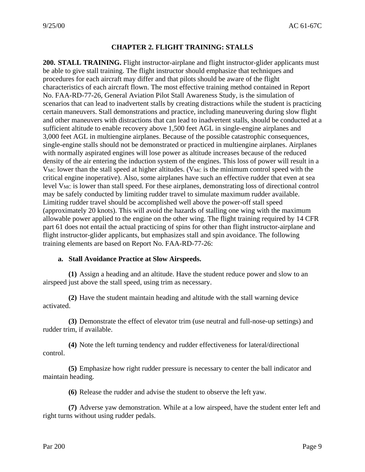#### **CHAPTER 2. FLIGHT TRAINING: STALLS**

 be able to give stall training. The flight instructor should emphasize that techniques and procedures for each aircraft may differ and that pilots should be aware of the flight with normally aspirated engines will lose power as altitude increases because of the reduced may be safely conducted by limiting rudder travel to simulate maximum rudder available. Limiting rudder travel should be accomplished well above the power-off stall speed part 61 does not entail the actual practicing of spins for other than flight instructor-airplane and **200. STALL TRAINING.** Flight instructor-airplane and flight instructor-glider applicants must characteristics of each aircraft flown. The most effective training method contained in Report No. FAA-RD-77-26, General Aviation Pilot Stall Awareness Study, is the simulation of scenarios that can lead to inadvertent stalls by creating distractions while the student is practicing certain maneuvers. Stall demonstrations and practice, including maneuvering during slow flight and other maneuvers with distractions that can lead to inadvertent stalls, should be conducted at a sufficient altitude to enable recovery above 1,500 feet AGL in single-engine airplanes and 3,000 feet AGL in multiengine airplanes. Because of the possible catastrophic consequences, single-engine stalls should not be demonstrated or practiced in multiengine airplanes. Airplanes density of the air entering the induction system of the engines. This loss of power will result in a V<sub>MC</sub> lower than the stall speed at higher altitudes. (V<sub>MC</sub> is the minimum control speed with the critical engine inoperative). Also, some airplanes have such an effective rudder that even at sea level  $V_{MC}$  is lower than stall speed. For these airplanes, demonstrating loss of directional control (approximately 20 knots). This will avoid the hazards of stalling one wing with the maximum allowable power applied to the engine on the other wing. The flight training required by 14 CFR flight instructor-glider applicants, but emphasizes stall and spin avoidance. The following training elements are based on Report No. FAA-RD-77-26:

#### **a. Stall Avoidance Practice at Slow Airspeeds.**

**(1)** Assign a heading and an altitude. Have the student reduce power and slow to an airspeed just above the stall speed, using trim as necessary.

**(2)** Have the student maintain heading and altitude with the stall warning device activated.

**(3)** Demonstrate the effect of elevator trim (use neutral and full-nose-up settings) and rudder trim, if available.

**(4)** Note the left turning tendency and rudder effectiveness for lateral/directional control.

**(5)** Emphasize how right rudder pressure is necessary to center the ball indicator and maintain heading.

**(6)** Release the rudder and advise the student to observe the left yaw.

**(7)** Adverse yaw demonstration. While at a low airspeed, have the student enter left and right turns without using rudder pedals.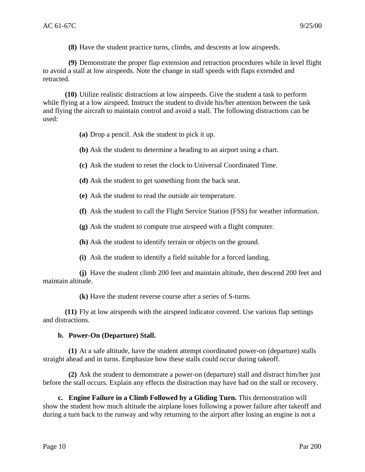**(8)** Have the student practice turns, climbs, and descents at low airspeeds.

**(9)** Demonstrate the proper flap extension and retraction procedures while in level flight to avoid a stall at low airspeeds. Note the change in stall speeds with flaps extended and retracted.

 and flying the aircraft to maintain control and avoid a stall. The following distractions can be **(10)** Utilize realistic distractions at low airspeeds. Give the student a task to perform while flying at a low airspeed. Instruct the student to divide his/her attention between the task used:

- **(a)** Drop a pencil. Ask the student to pick it up.
- **(b)** Ask the student to determine a heading to an airport using a chart.
- **(c)** Ask the student to reset the clock to Universal Coordinated Time.
- **(d)** Ask the student to get something from the back seat.
- **(e)** Ask the student to read the outside air temperature.
- **(f)** Ask the student to call the Flight Service Station (FSS) for weather information.
- **(g)** Ask the student to compute true airspeed with a flight computer.
- **(h)** Ask the student to identify terrain or objects on the ground.
- **(i)** Ask the student to identify a field suitable for a forced landing.

**(j)** Have the student climb 200 feet and maintain altitude, then descend 200 feet and maintain altitude.

**(k)** Have the student reverse course after a series of S-turns.

**(11)** Fly at low airspeeds with the airspeed indicator covered. Use various flap settings and distractions.

#### **b. Power-On (Departure) Stall.**

**(1)** At a safe altitude, have the student attempt coordinated power-on (departure) stalls straight ahead and in turns. Emphasize how these stalls could occur during takeoff.

**(2)** Ask the student to demonstrate a power-on (departure) stall and distract him/her just before the stall occurs. Explain any effects the distraction may have had on the stall or recovery.

 show the student how much altitude the airplane loses following a power failure after takeoff and during a turn back to the runway and why returning to the airport after losing an engine is not a **c. Engine Failure in a Climb Followed by a Gliding Turn.** This demonstration will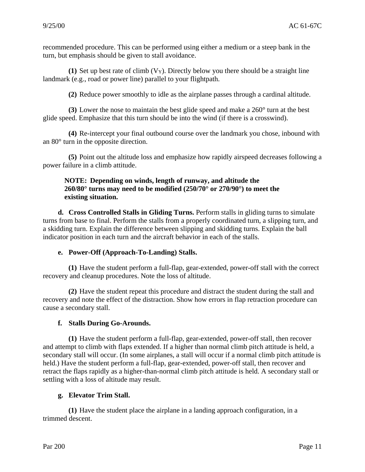recommended procedure. This can be performed using either a medium or a steep bank in the turn, but emphasis should be given to stall avoidance.

**(1)** Set up best rate of climb (VY). Directly below you there should be a straight line landmark (e.g., road or power line) parallel to your flightpath.

**(2)** Reduce power smoothly to idle as the airplane passes through a cardinal altitude.

 **(3)** Lower the nose to maintain the best glide speed and make a 260° turn at the best glide speed. Emphasize that this turn should be into the wind (if there is a crosswind).

 **(4)** Re-intercept your final outbound course over the landmark you chose, inbound with an 80° turn in the opposite direction.

 **(5)** Point out the altitude loss and emphasize how rapidly airspeed decreases following a power failure in a climb attitude.

#### **260/80° turns may need to be modified (250/70° or 270/90°) to meet the NOTE: Depending on winds, length of runway, and altitude the existing situation.**

 a skidding turn. Explain the difference between slipping and skidding turns. Explain the ball **d. Cross Controlled Stalls in Gliding Turns.** Perform stalls in gliding turns to simulate turns from base to final. Perform the stalls from a properly coordinated turn, a slipping turn, and indicator position in each turn and the aircraft behavior in each of the stalls.

#### **e. Power-Off (Approach-To-Landing) Stalls.**

 recovery and cleanup procedures. Note the loss of altitude. **(1)** Have the student perform a full-flap, gear-extended, power-off stall with the correct

**(2)** Have the student repeat this procedure and distract the student during the stall and recovery and note the effect of the distraction. Show how errors in flap retraction procedure can cause a secondary stall.

#### **f. Stalls During Go-Arounds.**

**(1)** Have the student perform a full-flap, gear-extended, power-off stall, then recover and attempt to climb with flaps extended. If a higher than normal climb pitch attitude is held, a secondary stall will occur. (In some airplanes, a stall will occur if a normal climb pitch attitude is held.) Have the student perform a full-flap, gear-extended, power-off stall, then recover and retract the flaps rapidly as a higher-than-normal climb pitch attitude is held. A secondary stall or settling with a loss of altitude may result.

#### **g. Elevator Trim Stall.**

 **(1)** Have the student place the airplane in a landing approach configuration, in a trimmed descent.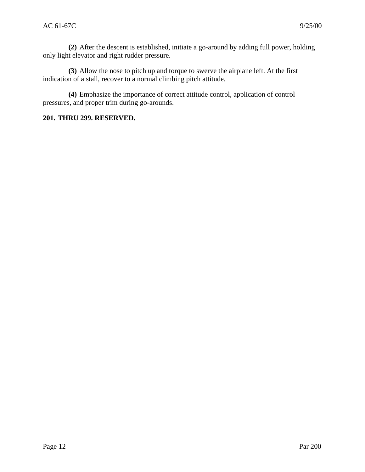**(2)** After the descent is established, initiate a go-around by adding full power, holding only light elevator and right rudder pressure.

 **(3)** Allow the nose to pitch up and torque to swerve the airplane left. At the first indication of a stall, recover to a normal climbing pitch attitude.

**(4)** Emphasize the importance of correct attitude control, application of control pressures, and proper trim during go-arounds.

#### **201. THRU 299. RESERVED.**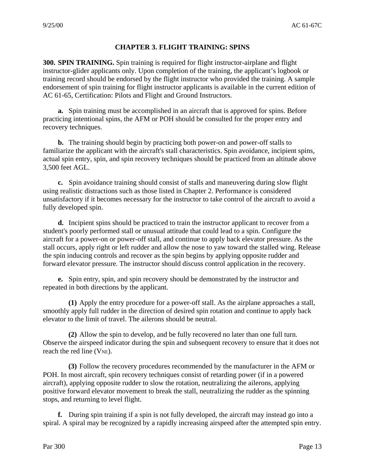#### **CHAPTER 3. FLIGHT TRAINING: SPINS**

 endorsement of spin training for flight instructor applicants is available in the current edition of **300. SPIN TRAINING.** Spin training is required for flight instructor-airplane and flight instructor-glider applicants only. Upon completion of the training, the applicant's logbook or training record should be endorsed by the flight instructor who provided the training. A sample AC 61-65, Certification: Pilots and Flight and Ground Instructors.

**a.** Spin training must be accomplished in an aircraft that is approved for spins. Before practicing intentional spins, the AFM or POH should be consulted for the proper entry and recovery techniques.

**b.** The training should begin by practicing both power-on and power-off stalls to familiarize the applicant with the aircraft's stall characteristics. Spin avoidance, incipient spins, actual spin entry, spin, and spin recovery techniques should be practiced from an altitude above 3,500 feet AGL.

 using realistic distractions such as those listed in Chapter 2. Performance is considered **c.** Spin avoidance training should consist of stalls and maneuvering during slow flight unsatisfactory if it becomes necessary for the instructor to take control of the aircraft to avoid a fully developed spin.

 **d.** Incipient spins should be practiced to train the instructor applicant to recover from a forward elevator pressure. The instructor should discuss control application in the recovery. student's poorly performed stall or unusual attitude that could lead to a spin. Configure the aircraft for a power-on or power-off stall, and continue to apply back elevator pressure. As the stall occurs, apply right or left rudder and allow the nose to yaw toward the stalled wing. Release the spin inducing controls and recover as the spin begins by applying opposite rudder and

**e.** Spin entry, spin, and spin recovery should be demonstrated by the instructor and repeated in both directions by the applicant.

**(1)** Apply the entry procedure for a power-off stall. As the airplane approaches a stall, smoothly apply full rudder in the direction of desired spin rotation and continue to apply back elevator to the limit of travel. The ailerons should be neutral.

 Observe the airspeed indicator during the spin and subsequent recovery to ensure that it does not **(2)** Allow the spin to develop, and be fully recovered no later than one full turn. reach the red line  $(V_{NE})$ .

 **(3)** Follow the recovery procedures recommended by the manufacturer in the AFM or POH. In most aircraft, spin recovery techniques consist of retarding power (if in a powered aircraft), applying opposite rudder to slow the rotation, neutralizing the ailerons, applying positive forward elevator movement to break the stall, neutralizing the rudder as the spinning stops, and returning to level flight.

**f.** During spin training if a spin is not fully developed, the aircraft may instead go into a spiral. A spiral may be recognized by a rapidly increasing airspeed after the attempted spin entry.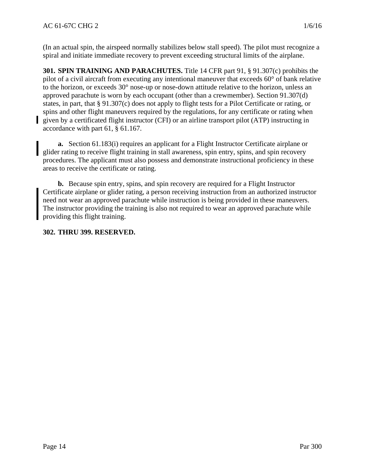(In an actual spin, the airspeed normally stabilizes below stall speed). The pilot must recognize a spiral and initiate immediate recovery to prevent exceeding structural limits of the airplane.

 states, in part, that § 91.307(c) does not apply to flight tests for a Pilot Certificate or rating, or spins and other flight maneuvers required by the regulations, for any certificate or rating when given by a certificated flight instructor (CFI) or an airline transport pilot (ATP) instructing in accordance with part 61, § 61.167. **301. SPIN TRAINING AND PARACHUTES.** Title 14 CFR part 91, § 91.307(c) prohibits the pilot of a civil aircraft from executing any intentional maneuver that exceeds 60° of bank relative to the horizon, or exceeds 30° nose-up or nose-down attitude relative to the horizon, unless an approved parachute is worn by each occupant (other than a crewmember). Section 91.307(d)

 glider rating to receive flight training in stall awareness, spin entry, spins, and spin recovery **a.** Section 61.183(i) requires an applicant for a Flight Instructor Certificate airplane or procedures. The applicant must also possess and demonstrate instructional proficiency in these areas to receive the certificate or rating.

 **b.** Because spin entry, spins, and spin recovery are required for a Flight Instructor Certificate airplane or glider rating, a person receiving instruction from an authorized instructor need not wear an approved parachute while instruction is being provided in these maneuvers. The instructor providing the training is also not required to wear an approved parachute while providing this flight training.

#### **302. THRU 399. RESERVED.**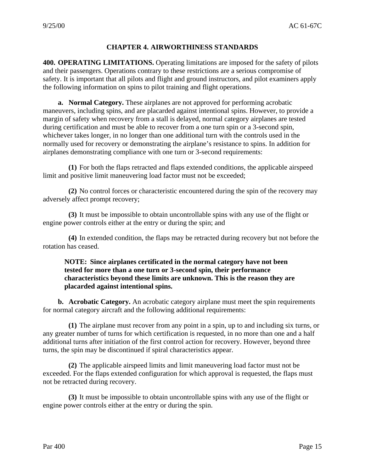#### **CHAPTER 4. AIRWORTHINESS STANDARDS**

**400. OPERATING LIMITATIONS.** Operating limitations are imposed for the safety of pilots and their passengers. Operations contrary to these restrictions are a serious compromise of safety. It is important that all pilots and flight and ground instructors, and pilot examiners apply the following information on spins to pilot training and flight operations.

 **a. Normal Category.** These airplanes are not approved for performing acrobatic during certification and must be able to recover from a one turn spin or a 3-second spin, whichever takes longer, in no longer than one additional turn with the controls used in the maneuvers, including spins, and are placarded against intentional spins. However, to provide a margin of safety when recovery from a stall is delayed, normal category airplanes are tested normally used for recovery or demonstrating the airplane's resistance to spins. In addition for airplanes demonstrating compliance with one turn or 3-second requirements:

**(1)** For both the flaps retracted and flaps extended conditions, the applicable airspeed limit and positive limit maneuvering load factor must not be exceeded;

**(2)** No control forces or characteristic encountered during the spin of the recovery may adversely affect prompt recovery;

**(3)** It must be impossible to obtain uncontrollable spins with any use of the flight or engine power controls either at the entry or during the spin; and

**(4)** In extended condition, the flaps may be retracted during recovery but not before the rotation has ceased.

#### **NOTE: Since airplanes certificated in the normal category have not been tested for more than a one turn or 3-second spin, their performance characteristics beyond these limits are unknown. This is the reason they are placarded against intentional spins.**

**b.** Acrobatic Category. An acrobatic category airplane must meet the spin requirements for normal category aircraft and the following additional requirements:

 additional turns after initiation of the first control action for recovery. However, beyond three **(1)** The airplane must recover from any point in a spin, up to and including six turns, or any greater number of turns for which certification is requested, in no more than one and a half turns, the spin may be discontinued if spiral characteristics appear.

**(2)** The applicable airspeed limits and limit maneuvering load factor must not be exceeded. For the flaps extended configuration for which approval is requested, the flaps must not be retracted during recovery.

**(3)** It must be impossible to obtain uncontrollable spins with any use of the flight or engine power controls either at the entry or during the spin.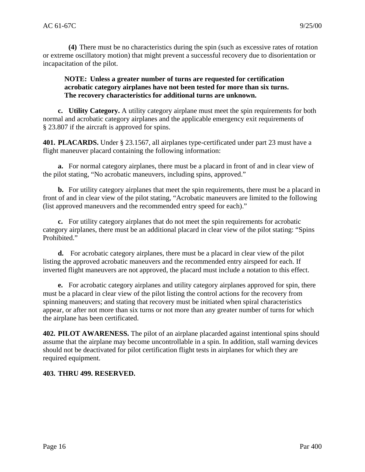**(4)** There must be no characteristics during the spin (such as excessive rates of rotation or extreme oscillatory motion) that might prevent a successful recovery due to disorientation or incapacitation of the pilot.

#### **NOTE: Unless a greater number of turns are requested for certification acrobatic category airplanes have not been tested for more than six turns. The recovery characteristics for additional turns are unknown.**

 **c. Utility Category.** A utility category airplane must meet the spin requirements for both normal and acrobatic category airplanes and the applicable emergency exit requirements of § 23.807 if the aircraft is approved for spins.

 **401. PLACARDS.** Under § 23.1567, all airplanes type-certificated under part 23 must have a flight maneuver placard containing the following information:

**a.** For normal category airplanes, there must be a placard in front of and in clear view of the pilot stating, "No acrobatic maneuvers, including spins, approved."

 **b.** For utility category airplanes that meet the spin requirements, there must be a placard in front of and in clear view of the pilot stating, "Acrobatic maneuvers are limited to the following (list approved maneuvers and the recommended entry speed for each)."

 **c.** For utility category airplanes that do not meet the spin requirements for acrobatic category airplanes, there must be an additional placard in clear view of the pilot stating: "Spins Prohibited."

 inverted flight maneuvers are not approved, the placard must include a notation to this effect. **d.** For acrobatic category airplanes, there must be a placard in clear view of the pilot listing the approved acrobatic maneuvers and the recommended entry airspeed for each. If

**e.** For acrobatic category airplanes and utility category airplanes approved for spin, there must be a placard in clear view of the pilot listing the control actions for the recovery from spinning maneuvers; and stating that recovery must be initiated when spiral characteristics appear, or after not more than six turns or not more than any greater number of turns for which the airplane has been certificated.

 **402. PILOT AWARENESS.** The pilot of an airplane placarded against intentional spins should assume that the airplane may become uncontrollable in a spin. In addition, stall warning devices should not be deactivated for pilot certification flight tests in airplanes for which they are required equipment.

#### **403. THRU 499. RESERVED.**